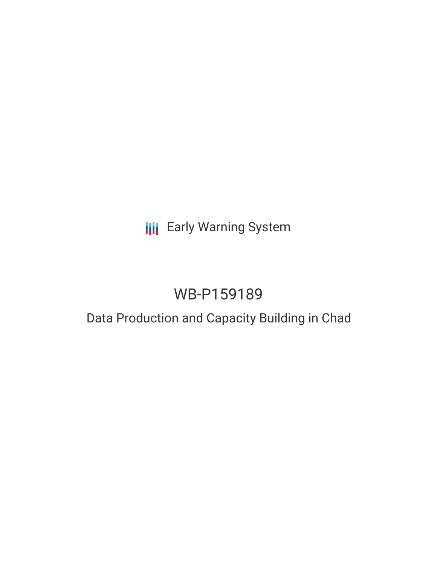## **III** Early Warning System

# WB-P159189

## Data Production and Capacity Building in Chad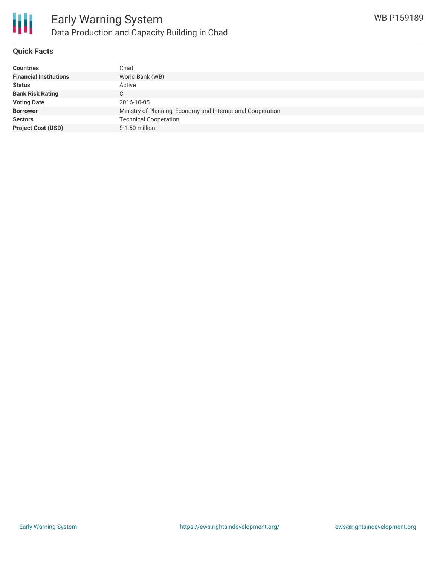

#### **Quick Facts**

| <b>Countries</b>              | Chad                                                        |
|-------------------------------|-------------------------------------------------------------|
| <b>Financial Institutions</b> | World Bank (WB)                                             |
| <b>Status</b>                 | Active                                                      |
| <b>Bank Risk Rating</b>       | C                                                           |
| <b>Voting Date</b>            | 2016-10-05                                                  |
| <b>Borrower</b>               | Ministry of Planning, Economy and International Cooperation |
| <b>Sectors</b>                | <b>Technical Cooperation</b>                                |
| <b>Project Cost (USD)</b>     | $$1.50$ million                                             |
|                               |                                                             |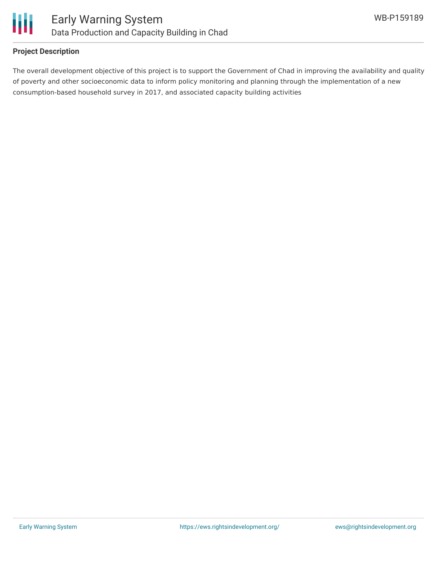

#### **Project Description**

The overall development objective of this project is to support the Government of Chad in improving the availability and quality of poverty and other socioeconomic data to inform policy monitoring and planning through the implementation of a new consumption-based household survey in 2017, and associated capacity building activities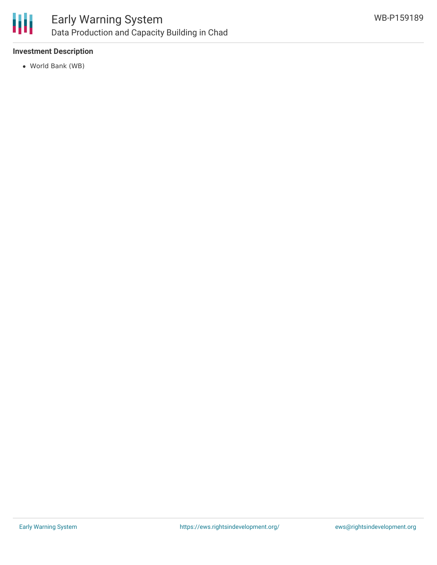

### Early Warning System Data Production and Capacity Building in Chad

#### **Investment Description**

World Bank (WB)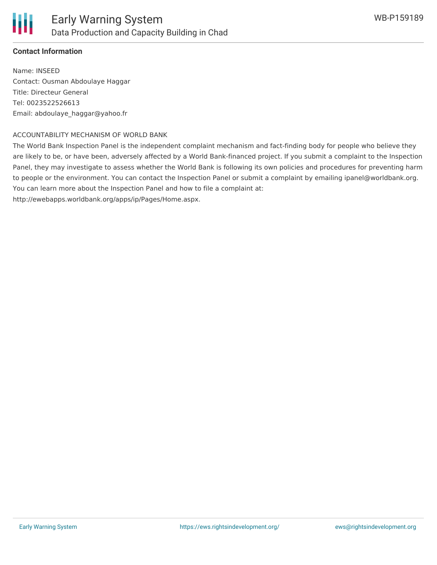#### **Contact Information**

Name: INSEED Contact: Ousman Abdoulaye Haggar Title: Directeur General Tel: 0023522526613 Email: abdoulaye\_haggar@yahoo.fr

#### ACCOUNTABILITY MECHANISM OF WORLD BANK

The World Bank Inspection Panel is the independent complaint mechanism and fact-finding body for people who believe they are likely to be, or have been, adversely affected by a World Bank-financed project. If you submit a complaint to the Inspection Panel, they may investigate to assess whether the World Bank is following its own policies and procedures for preventing harm to people or the environment. You can contact the Inspection Panel or submit a complaint by emailing ipanel@worldbank.org. You can learn more about the Inspection Panel and how to file a complaint at:

http://ewebapps.worldbank.org/apps/ip/Pages/Home.aspx.